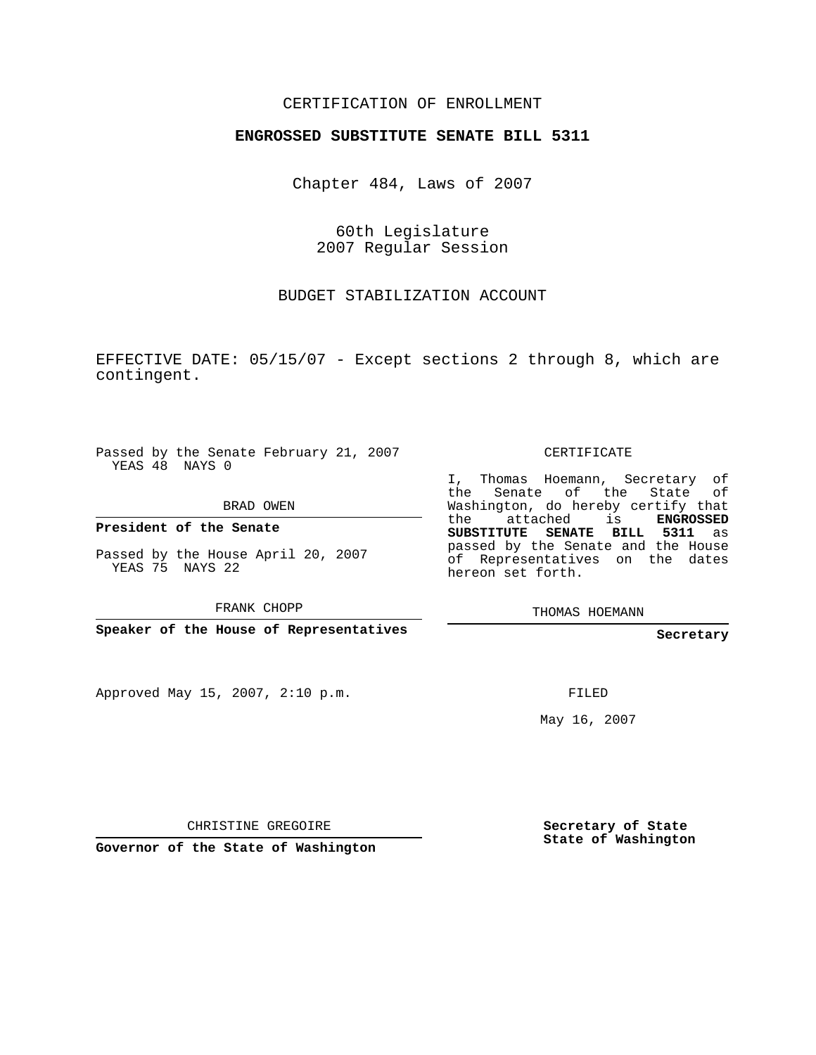## CERTIFICATION OF ENROLLMENT

## **ENGROSSED SUBSTITUTE SENATE BILL 5311**

Chapter 484, Laws of 2007

60th Legislature 2007 Regular Session

BUDGET STABILIZATION ACCOUNT

EFFECTIVE DATE: 05/15/07 - Except sections 2 through 8, which are contingent.

Passed by the Senate February 21, 2007 YEAS 48 NAYS 0

BRAD OWEN

**President of the Senate**

Passed by the House April 20, 2007 YEAS 75 NAYS 22

FRANK CHOPP

**Speaker of the House of Representatives**

Approved May 15, 2007, 2:10 p.m.

CERTIFICATE

I, Thomas Hoemann, Secretary of the Senate of the State Washington, do hereby certify that the attached is **ENGROSSED SUBSTITUTE SENATE BILL 5311** as passed by the Senate and the House of Representatives on the dates hereon set forth.

THOMAS HOEMANN

**Secretary**

FILED

May 16, 2007

CHRISTINE GREGOIRE

**Governor of the State of Washington**

**Secretary of State State of Washington**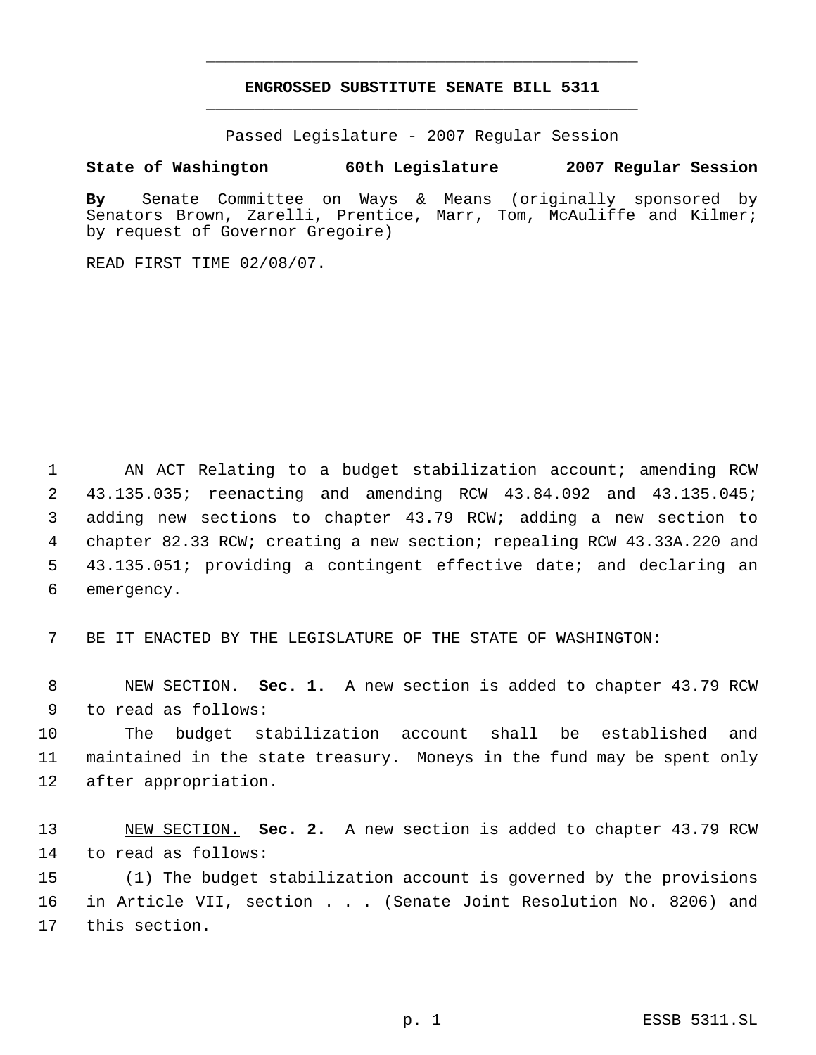## **ENGROSSED SUBSTITUTE SENATE BILL 5311** \_\_\_\_\_\_\_\_\_\_\_\_\_\_\_\_\_\_\_\_\_\_\_\_\_\_\_\_\_\_\_\_\_\_\_\_\_\_\_\_\_\_\_\_\_

\_\_\_\_\_\_\_\_\_\_\_\_\_\_\_\_\_\_\_\_\_\_\_\_\_\_\_\_\_\_\_\_\_\_\_\_\_\_\_\_\_\_\_\_\_

Passed Legislature - 2007 Regular Session

## **State of Washington 60th Legislature 2007 Regular Session**

**By** Senate Committee on Ways & Means (originally sponsored by Senators Brown, Zarelli, Prentice, Marr, Tom, McAuliffe and Kilmer; by request of Governor Gregoire)

READ FIRST TIME 02/08/07.

 AN ACT Relating to a budget stabilization account; amending RCW 43.135.035; reenacting and amending RCW 43.84.092 and 43.135.045; adding new sections to chapter 43.79 RCW; adding a new section to chapter 82.33 RCW; creating a new section; repealing RCW 43.33A.220 and 43.135.051; providing a contingent effective date; and declaring an emergency.

BE IT ENACTED BY THE LEGISLATURE OF THE STATE OF WASHINGTON:

 NEW SECTION. **Sec. 1.** A new section is added to chapter 43.79 RCW to read as follows:

 The budget stabilization account shall be established and maintained in the state treasury. Moneys in the fund may be spent only after appropriation.

 NEW SECTION. **Sec. 2.** A new section is added to chapter 43.79 RCW to read as follows:

 (1) The budget stabilization account is governed by the provisions in Article VII, section . . . (Senate Joint Resolution No. 8206) and this section.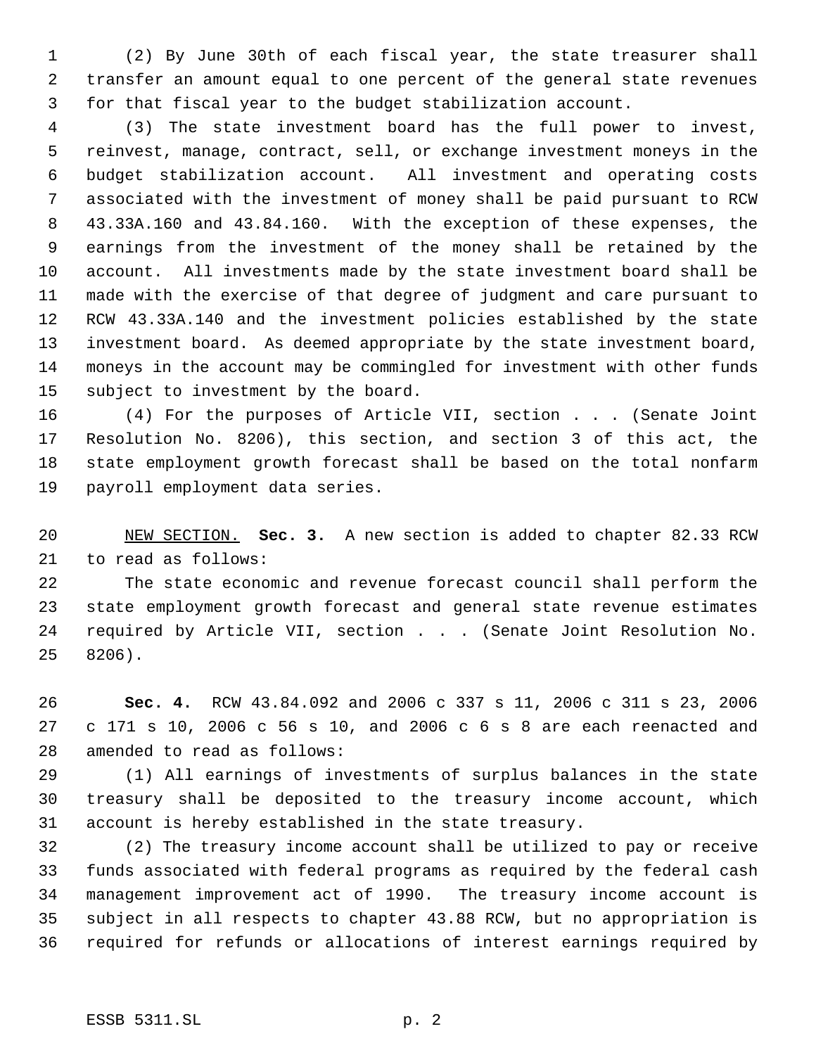(2) By June 30th of each fiscal year, the state treasurer shall transfer an amount equal to one percent of the general state revenues for that fiscal year to the budget stabilization account.

 (3) The state investment board has the full power to invest, reinvest, manage, contract, sell, or exchange investment moneys in the budget stabilization account. All investment and operating costs associated with the investment of money shall be paid pursuant to RCW 43.33A.160 and 43.84.160. With the exception of these expenses, the earnings from the investment of the money shall be retained by the account. All investments made by the state investment board shall be made with the exercise of that degree of judgment and care pursuant to RCW 43.33A.140 and the investment policies established by the state investment board. As deemed appropriate by the state investment board, moneys in the account may be commingled for investment with other funds subject to investment by the board.

 (4) For the purposes of Article VII, section . . . (Senate Joint Resolution No. 8206), this section, and section 3 of this act, the state employment growth forecast shall be based on the total nonfarm payroll employment data series.

 NEW SECTION. **Sec. 3.** A new section is added to chapter 82.33 RCW to read as follows:

 The state economic and revenue forecast council shall perform the state employment growth forecast and general state revenue estimates 24 required by Article VII, section . . . (Senate Joint Resolution No. 8206).

 **Sec. 4.** RCW 43.84.092 and 2006 c 337 s 11, 2006 c 311 s 23, 2006 c 171 s 10, 2006 c 56 s 10, and 2006 c 6 s 8 are each reenacted and amended to read as follows:

 (1) All earnings of investments of surplus balances in the state treasury shall be deposited to the treasury income account, which account is hereby established in the state treasury.

 (2) The treasury income account shall be utilized to pay or receive funds associated with federal programs as required by the federal cash management improvement act of 1990. The treasury income account is subject in all respects to chapter 43.88 RCW, but no appropriation is required for refunds or allocations of interest earnings required by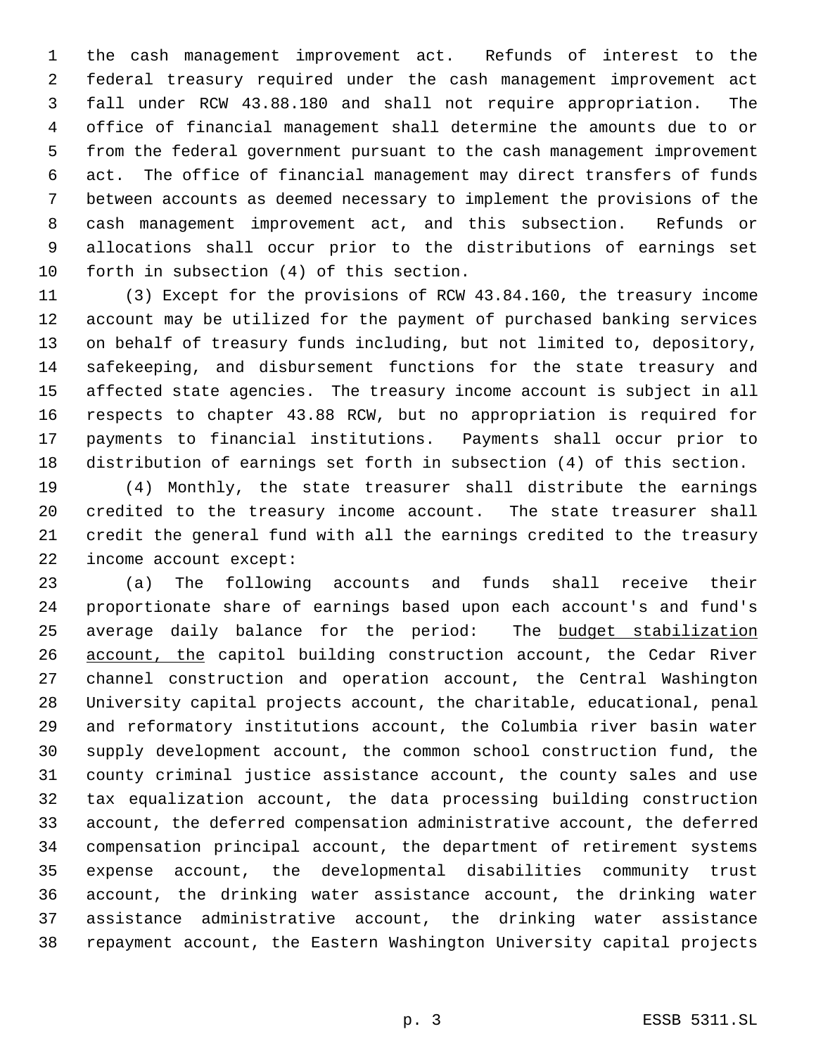the cash management improvement act. Refunds of interest to the federal treasury required under the cash management improvement act fall under RCW 43.88.180 and shall not require appropriation. The office of financial management shall determine the amounts due to or from the federal government pursuant to the cash management improvement act. The office of financial management may direct transfers of funds between accounts as deemed necessary to implement the provisions of the cash management improvement act, and this subsection. Refunds or allocations shall occur prior to the distributions of earnings set forth in subsection (4) of this section.

 (3) Except for the provisions of RCW 43.84.160, the treasury income account may be utilized for the payment of purchased banking services on behalf of treasury funds including, but not limited to, depository, safekeeping, and disbursement functions for the state treasury and affected state agencies. The treasury income account is subject in all respects to chapter 43.88 RCW, but no appropriation is required for payments to financial institutions. Payments shall occur prior to distribution of earnings set forth in subsection (4) of this section.

 (4) Monthly, the state treasurer shall distribute the earnings credited to the treasury income account. The state treasurer shall credit the general fund with all the earnings credited to the treasury income account except:

 (a) The following accounts and funds shall receive their proportionate share of earnings based upon each account's and fund's average daily balance for the period: The budget stabilization account, the capitol building construction account, the Cedar River channel construction and operation account, the Central Washington University capital projects account, the charitable, educational, penal and reformatory institutions account, the Columbia river basin water supply development account, the common school construction fund, the county criminal justice assistance account, the county sales and use tax equalization account, the data processing building construction account, the deferred compensation administrative account, the deferred compensation principal account, the department of retirement systems expense account, the developmental disabilities community trust account, the drinking water assistance account, the drinking water assistance administrative account, the drinking water assistance repayment account, the Eastern Washington University capital projects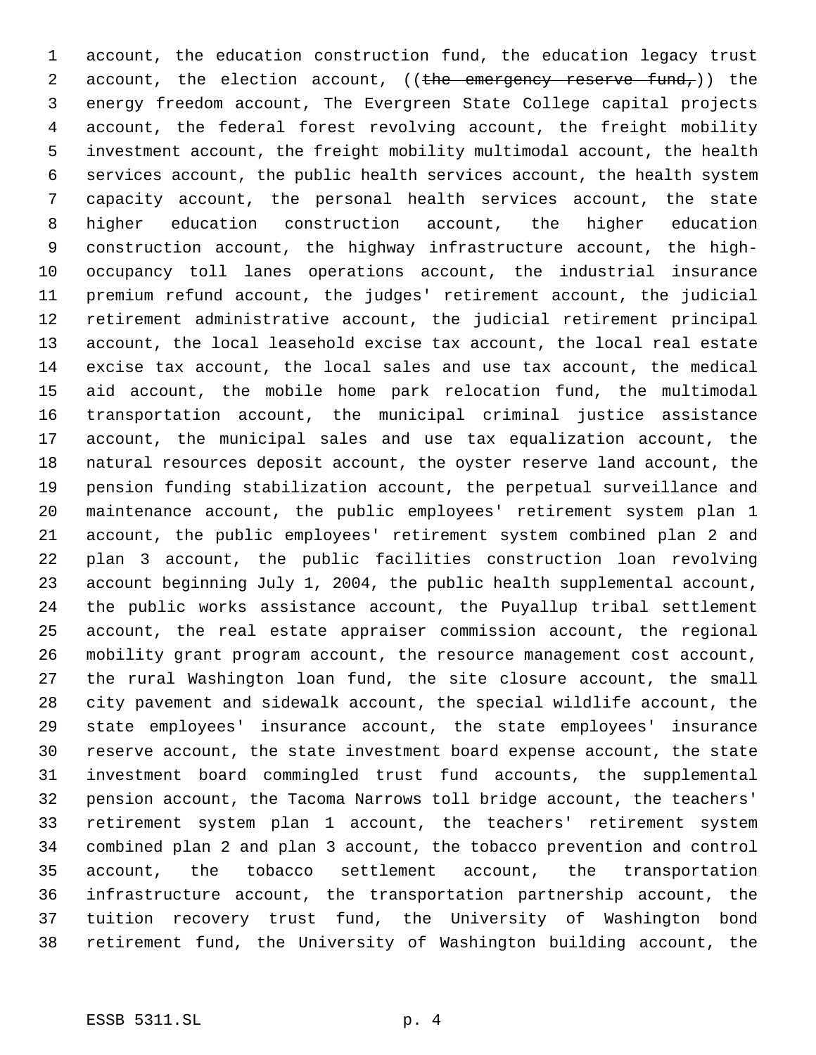account, the education construction fund, the education legacy trust 2 account, the election account, ((the emergency reserve fund,)) the energy freedom account, The Evergreen State College capital projects account, the federal forest revolving account, the freight mobility investment account, the freight mobility multimodal account, the health services account, the public health services account, the health system capacity account, the personal health services account, the state higher education construction account, the higher education construction account, the highway infrastructure account, the high- occupancy toll lanes operations account, the industrial insurance premium refund account, the judges' retirement account, the judicial retirement administrative account, the judicial retirement principal account, the local leasehold excise tax account, the local real estate excise tax account, the local sales and use tax account, the medical aid account, the mobile home park relocation fund, the multimodal transportation account, the municipal criminal justice assistance account, the municipal sales and use tax equalization account, the natural resources deposit account, the oyster reserve land account, the pension funding stabilization account, the perpetual surveillance and maintenance account, the public employees' retirement system plan 1 account, the public employees' retirement system combined plan 2 and plan 3 account, the public facilities construction loan revolving account beginning July 1, 2004, the public health supplemental account, the public works assistance account, the Puyallup tribal settlement account, the real estate appraiser commission account, the regional mobility grant program account, the resource management cost account, the rural Washington loan fund, the site closure account, the small city pavement and sidewalk account, the special wildlife account, the state employees' insurance account, the state employees' insurance reserve account, the state investment board expense account, the state investment board commingled trust fund accounts, the supplemental pension account, the Tacoma Narrows toll bridge account, the teachers' retirement system plan 1 account, the teachers' retirement system combined plan 2 and plan 3 account, the tobacco prevention and control account, the tobacco settlement account, the transportation infrastructure account, the transportation partnership account, the tuition recovery trust fund, the University of Washington bond retirement fund, the University of Washington building account, the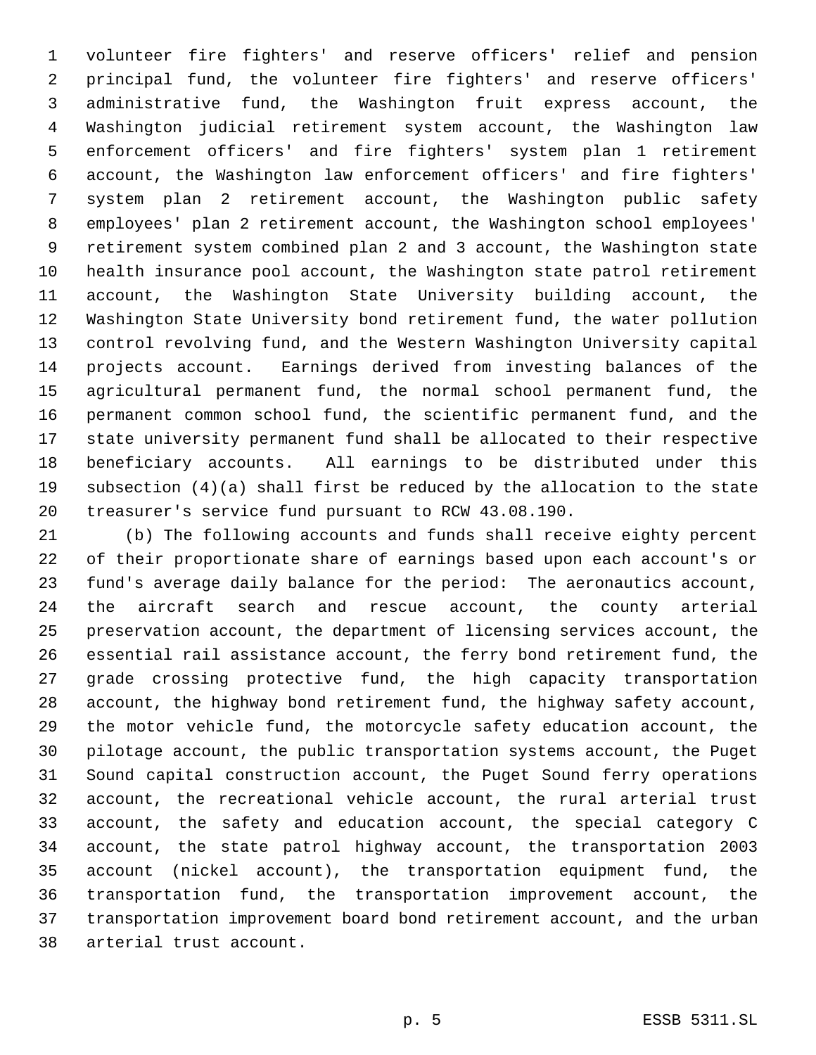volunteer fire fighters' and reserve officers' relief and pension principal fund, the volunteer fire fighters' and reserve officers' administrative fund, the Washington fruit express account, the Washington judicial retirement system account, the Washington law enforcement officers' and fire fighters' system plan 1 retirement account, the Washington law enforcement officers' and fire fighters' system plan 2 retirement account, the Washington public safety employees' plan 2 retirement account, the Washington school employees' retirement system combined plan 2 and 3 account, the Washington state health insurance pool account, the Washington state patrol retirement account, the Washington State University building account, the Washington State University bond retirement fund, the water pollution control revolving fund, and the Western Washington University capital projects account. Earnings derived from investing balances of the agricultural permanent fund, the normal school permanent fund, the permanent common school fund, the scientific permanent fund, and the state university permanent fund shall be allocated to their respective beneficiary accounts. All earnings to be distributed under this subsection (4)(a) shall first be reduced by the allocation to the state treasurer's service fund pursuant to RCW 43.08.190.

 (b) The following accounts and funds shall receive eighty percent of their proportionate share of earnings based upon each account's or fund's average daily balance for the period: The aeronautics account, the aircraft search and rescue account, the county arterial preservation account, the department of licensing services account, the essential rail assistance account, the ferry bond retirement fund, the grade crossing protective fund, the high capacity transportation account, the highway bond retirement fund, the highway safety account, the motor vehicle fund, the motorcycle safety education account, the pilotage account, the public transportation systems account, the Puget Sound capital construction account, the Puget Sound ferry operations account, the recreational vehicle account, the rural arterial trust account, the safety and education account, the special category C account, the state patrol highway account, the transportation 2003 account (nickel account), the transportation equipment fund, the transportation fund, the transportation improvement account, the transportation improvement board bond retirement account, and the urban arterial trust account.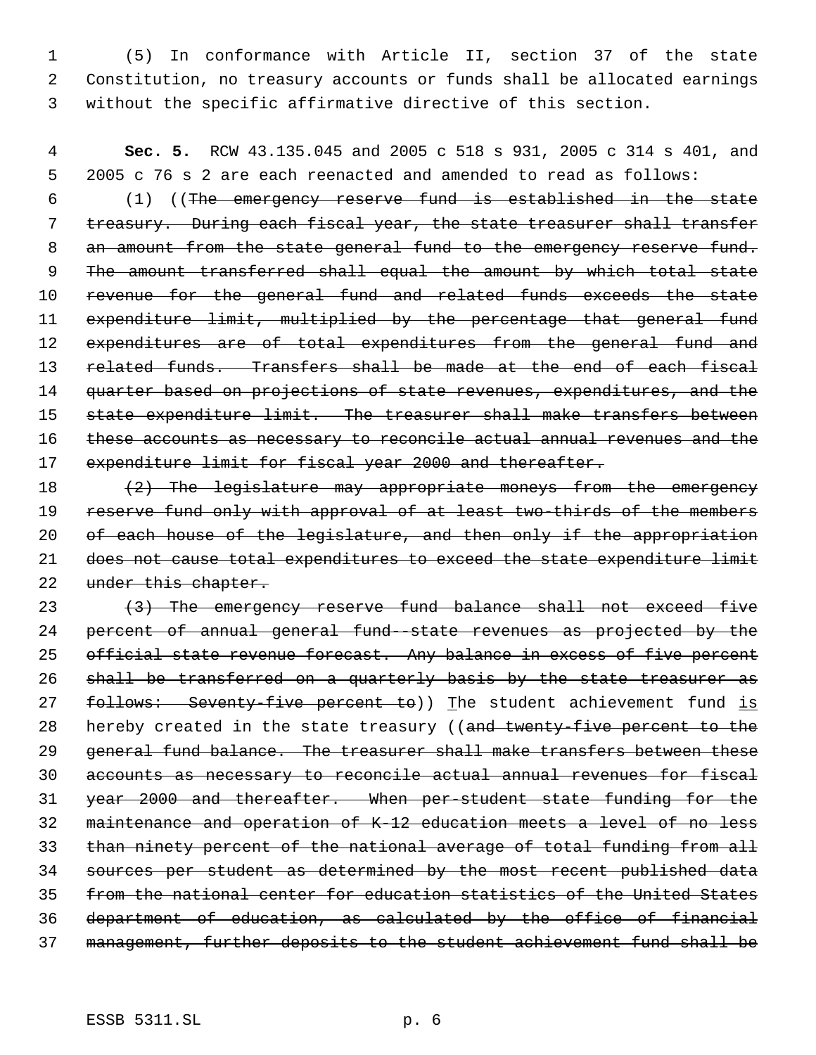1 (5) In conformance with Article II, section 37 of the state 2 Constitution, no treasury accounts or funds shall be allocated earnings 3 without the specific affirmative directive of this section.

 4 **Sec. 5.** RCW 43.135.045 and 2005 c 518 s 931, 2005 c 314 s 401, and 5 2005 c 76 s 2 are each reenacted and amended to read as follows:

 6 (1) ((The emergency reserve fund is established in the state 7 treasury. During each fiscal year, the state treasurer shall transfer 8 an amount from the state general fund to the emergency reserve fund. 9 The amount transferred shall equal the amount by which total state 10 revenue for the general fund and related funds exceeds the state 11 expenditure limit, multiplied by the percentage that general fund 12 expenditures are of total expenditures from the general fund and 13 related funds. Transfers shall be made at the end of each fiscal 14 quarter based on projections of state revenues, expenditures, and the 15 state expenditure limit. The treasurer shall make transfers between 16 these accounts as necessary to reconcile actual annual revenues and the 17 expenditure limit for fiscal year 2000 and thereafter.

18 (2) The legislature may appropriate moneys from the emergency 19 reserve fund only with approval of at least two-thirds of the members 20 of each house of the legislature, and then only if the appropriation 21 does not cause total expenditures to exceed the state expenditure limit 22 under this chapter.

23 (3) The emergency reserve fund balance shall not exceed five percent of annual general fund--state revenues as projected by the 25 official state revenue forecast. Any balance in excess of five percent shall be transferred on a quarterly basis by the state treasurer as 27 follows: Seventy-five percent to)) The student achievement fund is 28 hereby created in the state treasury ((and twenty-five percent to the 29 general fund balance. The treasurer shall make transfers between these accounts as necessary to reconcile actual annual revenues for fiscal year 2000 and thereafter. When per-student state funding for the maintenance and operation of K-12 education meets a level of no less than ninety percent of the national average of total funding from all sources per student as determined by the most recent published data from the national center for education statistics of the United States department of education, as calculated by the office of financial management, further deposits to the student achievement fund shall be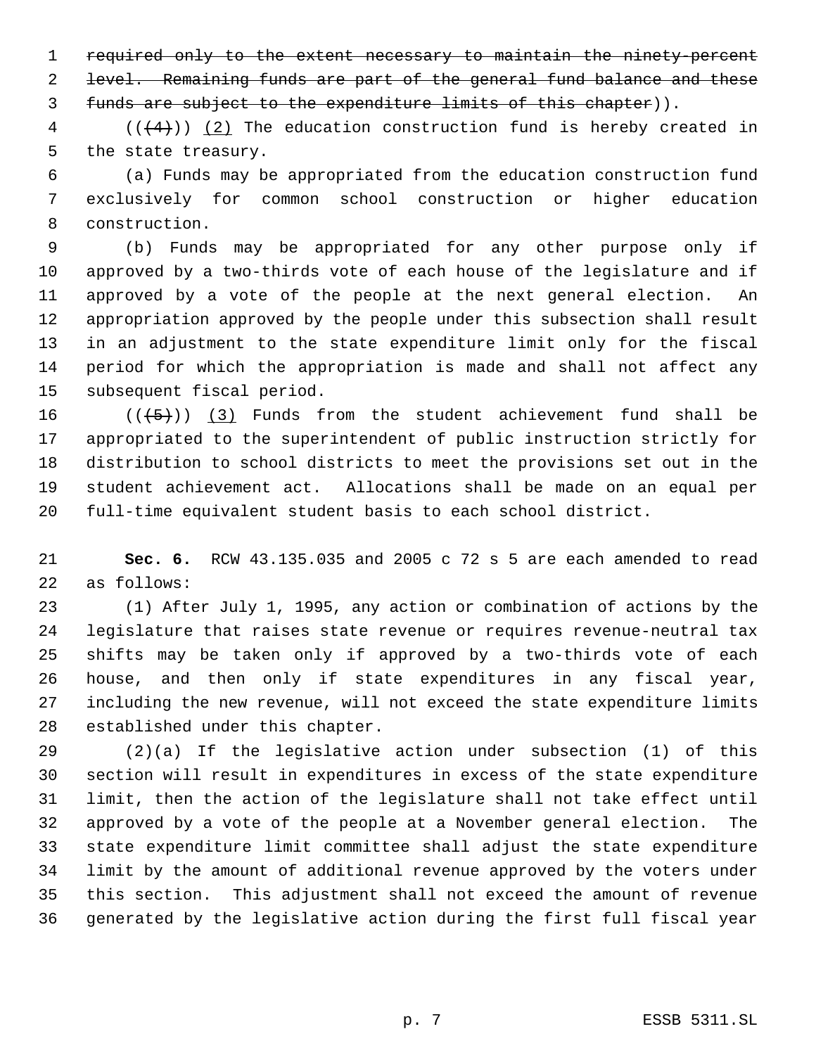required only to the extent necessary to maintain the ninety-percent level. Remaining funds are part of the general fund balance and these funds are subject to the expenditure limits of this chapter)).

 (( $(4)$ )) (2) The education construction fund is hereby created in the state treasury.

 (a) Funds may be appropriated from the education construction fund exclusively for common school construction or higher education construction.

 (b) Funds may be appropriated for any other purpose only if approved by a two-thirds vote of each house of the legislature and if approved by a vote of the people at the next general election. An appropriation approved by the people under this subsection shall result in an adjustment to the state expenditure limit only for the fiscal period for which the appropriation is made and shall not affect any subsequent fiscal period.

 $((+5))$   $(3)$  Funds from the student achievement fund shall be appropriated to the superintendent of public instruction strictly for distribution to school districts to meet the provisions set out in the student achievement act. Allocations shall be made on an equal per full-time equivalent student basis to each school district.

 **Sec. 6.** RCW 43.135.035 and 2005 c 72 s 5 are each amended to read as follows:

 (1) After July 1, 1995, any action or combination of actions by the legislature that raises state revenue or requires revenue-neutral tax shifts may be taken only if approved by a two-thirds vote of each house, and then only if state expenditures in any fiscal year, including the new revenue, will not exceed the state expenditure limits established under this chapter.

 (2)(a) If the legislative action under subsection (1) of this section will result in expenditures in excess of the state expenditure limit, then the action of the legislature shall not take effect until approved by a vote of the people at a November general election. The state expenditure limit committee shall adjust the state expenditure limit by the amount of additional revenue approved by the voters under this section. This adjustment shall not exceed the amount of revenue generated by the legislative action during the first full fiscal year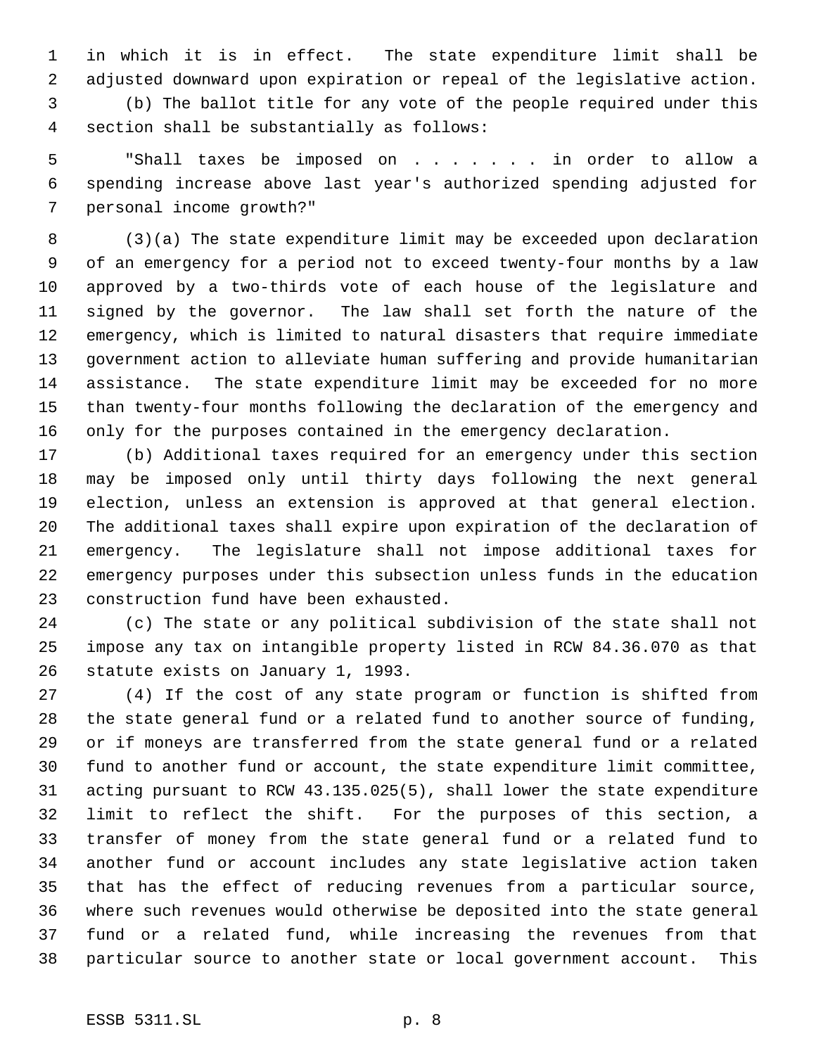in which it is in effect. The state expenditure limit shall be adjusted downward upon expiration or repeal of the legislative action. (b) The ballot title for any vote of the people required under this section shall be substantially as follows:

 "Shall taxes be imposed on . . . . . . . in order to allow a spending increase above last year's authorized spending adjusted for personal income growth?"

 (3)(a) The state expenditure limit may be exceeded upon declaration of an emergency for a period not to exceed twenty-four months by a law approved by a two-thirds vote of each house of the legislature and signed by the governor. The law shall set forth the nature of the emergency, which is limited to natural disasters that require immediate government action to alleviate human suffering and provide humanitarian assistance. The state expenditure limit may be exceeded for no more than twenty-four months following the declaration of the emergency and only for the purposes contained in the emergency declaration.

 (b) Additional taxes required for an emergency under this section may be imposed only until thirty days following the next general election, unless an extension is approved at that general election. The additional taxes shall expire upon expiration of the declaration of emergency. The legislature shall not impose additional taxes for emergency purposes under this subsection unless funds in the education construction fund have been exhausted.

 (c) The state or any political subdivision of the state shall not impose any tax on intangible property listed in RCW 84.36.070 as that statute exists on January 1, 1993.

 (4) If the cost of any state program or function is shifted from the state general fund or a related fund to another source of funding, or if moneys are transferred from the state general fund or a related fund to another fund or account, the state expenditure limit committee, acting pursuant to RCW 43.135.025(5), shall lower the state expenditure limit to reflect the shift. For the purposes of this section, a transfer of money from the state general fund or a related fund to another fund or account includes any state legislative action taken that has the effect of reducing revenues from a particular source, where such revenues would otherwise be deposited into the state general fund or a related fund, while increasing the revenues from that particular source to another state or local government account. This